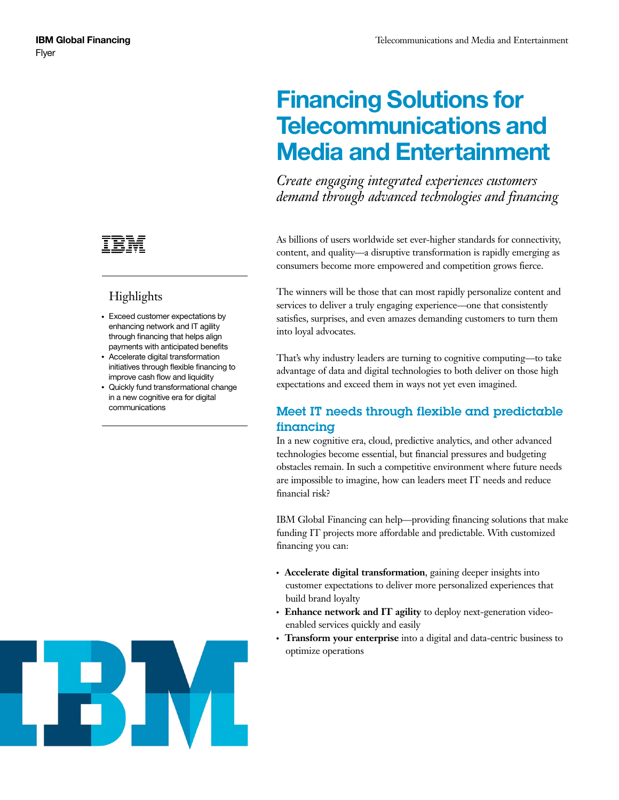# **Highlights**

- Exceed customer expectations by enhancing network and IT agility through financing that helps align payments with anticipated benefits
- Accelerate digital transformation initiatives through flexible financing to improve cash flow and liquidity
- Quickly fund transformational change in a new cognitive era for digital communications

# **Financing Solutions for Telecommunications and Media and Entertainment**

*Create engaging integrated experiences customers demand through advanced technologies and financing*

As billions of users worldwide set ever-higher standards for connectivity, content, and quality—a disruptive transformation is rapidly emerging as consumers become more empowered and competition grows fierce.

The winners will be those that can most rapidly personalize content and services to deliver a truly engaging experience—one that consistently satisfies, surprises, and even amazes demanding customers to turn them into loyal advocates.

That's why industry leaders are turning to cognitive computing—to take advantage of data and digital technologies to both deliver on those high expectations and exceed them in ways not yet even imagined.

## Meet IT needs through flexible and predictable financing

In a new cognitive era, cloud, predictive analytics, and other advanced technologies become essential, but financial pressures and budgeting obstacles remain. In such a competitive environment where future needs are impossible to imagine, how can leaders meet IT needs and reduce financial risk?

IBM Global Financing can help—providing financing solutions that make funding IT projects more affordable and predictable. With customized financing you can:

- **Accelerate digital transformation**, gaining deeper insights into customer expectations to deliver more personalized experiences that build brand loyalty
- Enhance network and IT agility to deploy next-generation videoenabled services quickly and easily
- Transform your enterprise into a digital and data-centric business to optimize operations